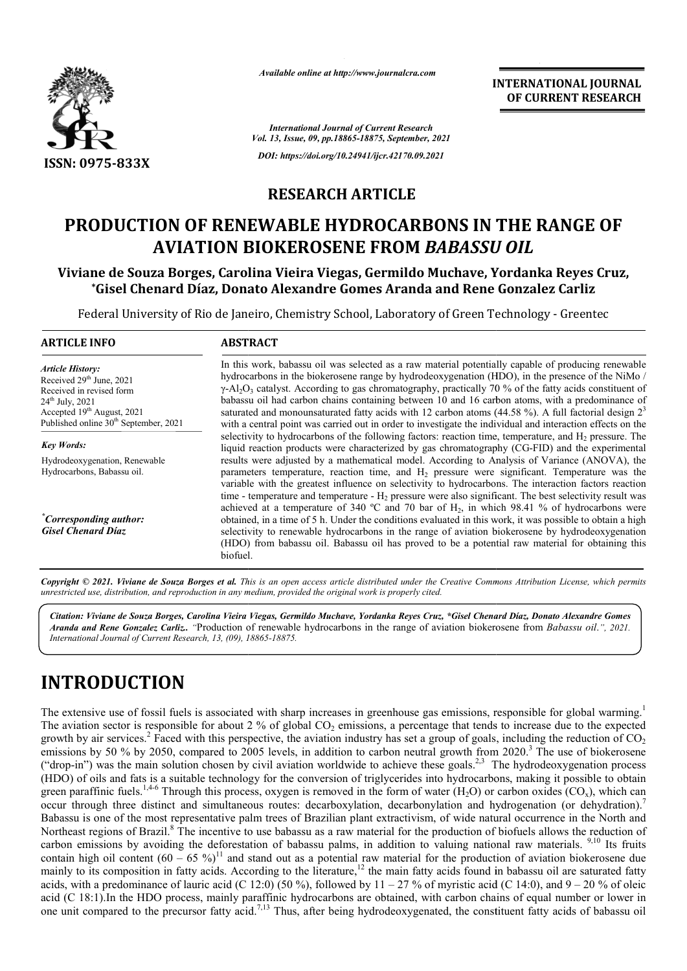

*Available online at http://www.journalcra.com*

## **RESEARCH ARTICLE**

# PRODUCTION OF RENEWABLE HYDROCARBONS IN THE RANGE OF **AVIATION BIOKEROSENE FROM**  *BABASSU OIL OIL*

### **Viviane de Souza Borges, Carolina Vieira Viegas, Germildo Muchave, Yordanka Reyes Cruz, \*Gisel Chenard Díaz, Donato Alexandre Gomes Aranda and Rene Gonzalez Carliz le de Souza Borges, Carolina Vieira Viegas, Germildo Muchave, Yordanka |<br>Gisel Chenard Díaz, Donato Alexandre Gomes Aranda and Rene Gonzalez**

|                                                                                                                                                                                         | unuvic viinne ui nup://www.jvurnuicru.com<br><b>INTERNATIONAL JOURNAL</b><br>OF CURRENT RESEARCH                                                                                                                                                                                                                                                                                                                                                                                                                                                                                                                                                                                                                                                                                                                                                                                                                                                                                                                                                                                                                                                                                                                                                                                                                                                                                                                                                                                                                                                                                                                                                                                                                                                                                                                                                                                                                                                                                                                                                                                                                                                                                                                                                                                                                                                    |
|-----------------------------------------------------------------------------------------------------------------------------------------------------------------------------------------|-----------------------------------------------------------------------------------------------------------------------------------------------------------------------------------------------------------------------------------------------------------------------------------------------------------------------------------------------------------------------------------------------------------------------------------------------------------------------------------------------------------------------------------------------------------------------------------------------------------------------------------------------------------------------------------------------------------------------------------------------------------------------------------------------------------------------------------------------------------------------------------------------------------------------------------------------------------------------------------------------------------------------------------------------------------------------------------------------------------------------------------------------------------------------------------------------------------------------------------------------------------------------------------------------------------------------------------------------------------------------------------------------------------------------------------------------------------------------------------------------------------------------------------------------------------------------------------------------------------------------------------------------------------------------------------------------------------------------------------------------------------------------------------------------------------------------------------------------------------------------------------------------------------------------------------------------------------------------------------------------------------------------------------------------------------------------------------------------------------------------------------------------------------------------------------------------------------------------------------------------------------------------------------------------------------------------------------------------------|
|                                                                                                                                                                                         | <b>International Journal of Current Research</b><br>Vol. 13, Issue, 09, pp.18865-18875, September, 2021                                                                                                                                                                                                                                                                                                                                                                                                                                                                                                                                                                                                                                                                                                                                                                                                                                                                                                                                                                                                                                                                                                                                                                                                                                                                                                                                                                                                                                                                                                                                                                                                                                                                                                                                                                                                                                                                                                                                                                                                                                                                                                                                                                                                                                             |
| ISSN: 0975-833X                                                                                                                                                                         | DOI: https://doi.org/10.24941/ijcr.42170.09.2021                                                                                                                                                                                                                                                                                                                                                                                                                                                                                                                                                                                                                                                                                                                                                                                                                                                                                                                                                                                                                                                                                                                                                                                                                                                                                                                                                                                                                                                                                                                                                                                                                                                                                                                                                                                                                                                                                                                                                                                                                                                                                                                                                                                                                                                                                                    |
|                                                                                                                                                                                         | <b>RESEARCH ARTICLE</b>                                                                                                                                                                                                                                                                                                                                                                                                                                                                                                                                                                                                                                                                                                                                                                                                                                                                                                                                                                                                                                                                                                                                                                                                                                                                                                                                                                                                                                                                                                                                                                                                                                                                                                                                                                                                                                                                                                                                                                                                                                                                                                                                                                                                                                                                                                                             |
|                                                                                                                                                                                         | PRODUCTION OF RENEWABLE HYDROCARBONS IN THE RANGE OF<br><b>AVIATION BIOKEROSENE FROM BABASSU OIL</b>                                                                                                                                                                                                                                                                                                                                                                                                                                                                                                                                                                                                                                                                                                                                                                                                                                                                                                                                                                                                                                                                                                                                                                                                                                                                                                                                                                                                                                                                                                                                                                                                                                                                                                                                                                                                                                                                                                                                                                                                                                                                                                                                                                                                                                                |
|                                                                                                                                                                                         | Viviane de Souza Borges, Carolina Vieira Viegas, Germildo Muchave, Yordanka Reyes Cruz,<br><i>*Gisel Chenard Díaz, Donato Alexandre Gomes Aranda and Rene Gonzalez Carliz</i>                                                                                                                                                                                                                                                                                                                                                                                                                                                                                                                                                                                                                                                                                                                                                                                                                                                                                                                                                                                                                                                                                                                                                                                                                                                                                                                                                                                                                                                                                                                                                                                                                                                                                                                                                                                                                                                                                                                                                                                                                                                                                                                                                                       |
|                                                                                                                                                                                         | Federal University of Rio de Janeiro, Chemistry School, Laboratory of Green Technology - Greentec                                                                                                                                                                                                                                                                                                                                                                                                                                                                                                                                                                                                                                                                                                                                                                                                                                                                                                                                                                                                                                                                                                                                                                                                                                                                                                                                                                                                                                                                                                                                                                                                                                                                                                                                                                                                                                                                                                                                                                                                                                                                                                                                                                                                                                                   |
| <b>ARTICLE INFO</b>                                                                                                                                                                     | <b>ABSTRACT</b>                                                                                                                                                                                                                                                                                                                                                                                                                                                                                                                                                                                                                                                                                                                                                                                                                                                                                                                                                                                                                                                                                                                                                                                                                                                                                                                                                                                                                                                                                                                                                                                                                                                                                                                                                                                                                                                                                                                                                                                                                                                                                                                                                                                                                                                                                                                                     |
| <b>Article History:</b><br>Received 29th June, 2021<br>Received in revised form<br>$24th$ July, 2021<br>Accepted 19th August, 2021<br>Published online 30 <sup>th</sup> September, 2021 | In this work, babassu oil was selected as a raw material potentially capable of producing renewable<br>hydrocarbons in the biokerosene range by hydrodeoxygenation (HDO), in the presence of the NiMo /<br>$\gamma$ -Al <sub>2</sub> O <sub>3</sub> catalyst. According to gas chromatography, practically 70 % of the fatty acids constituent of<br>babassu oil had carbon chains containing between 10 and 16 carbon atoms, with a predominance of<br>saturated and monounsaturated fatty acids with 12 carbon atoms (44.58 %). A full factorial design $23$<br>with a central point was carried out in order to investigate the individual and interaction effects on the<br>selectivity to hydrocarbons of the following factors: reaction time, temperature, and $H_2$ pressure. The                                                                                                                                                                                                                                                                                                                                                                                                                                                                                                                                                                                                                                                                                                                                                                                                                                                                                                                                                                                                                                                                                                                                                                                                                                                                                                                                                                                                                                                                                                                                                           |
| <b>Key Words:</b><br>Hydrodeoxygenation, Renewable<br>Hydrocarbons, Babassu oil.                                                                                                        | liquid reaction products were characterized by gas chromatography (CG-FID) and the experimental<br>results were adjusted by a mathematical model. According to Analysis of Variance (ANOVA), the<br>parameters temperature, reaction time, and H <sub>2</sub> pressure were significant. Temperature was the<br>variable with the greatest influence on selectivity to hydrocarbons. The interaction factors reaction<br>time - temperature and temperature - $H_2$ pressure were also significant. The best selectivity result was<br>achieved at a temperature of 340 °C and 70 bar of $H_2$ , in which 98.41 % of hydrocarbons were                                                                                                                                                                                                                                                                                                                                                                                                                                                                                                                                                                                                                                                                                                                                                                                                                                                                                                                                                                                                                                                                                                                                                                                                                                                                                                                                                                                                                                                                                                                                                                                                                                                                                                              |
| <sup>*</sup> Corresponding author:<br><b>Gisel Chenard Díaz</b>                                                                                                                         | obtained, in a time of 5 h. Under the conditions evaluated in this work, it was possible to obtain a high<br>selectivity to renewable hydrocarbons in the range of aviation biokerosene by hydrodeoxygenation<br>(HDO) from babassu oil. Babassu oil has proved to be a potential raw material for obtaining this<br>biofuel.                                                                                                                                                                                                                                                                                                                                                                                                                                                                                                                                                                                                                                                                                                                                                                                                                                                                                                                                                                                                                                                                                                                                                                                                                                                                                                                                                                                                                                                                                                                                                                                                                                                                                                                                                                                                                                                                                                                                                                                                                       |
|                                                                                                                                                                                         | Copyright © 2021. Viviane de Souza Borges et al. This is an open access article distributed under the Creative Commons Attribution License, which permits<br>unrestricted use, distribution, and reproduction in any medium, provided the original work is properly cited.                                                                                                                                                                                                                                                                                                                                                                                                                                                                                                                                                                                                                                                                                                                                                                                                                                                                                                                                                                                                                                                                                                                                                                                                                                                                                                                                                                                                                                                                                                                                                                                                                                                                                                                                                                                                                                                                                                                                                                                                                                                                          |
| International Journal of Current Research, 13, (09), 18865-18875.                                                                                                                       | Citation: Viviane de Souza Borges, Carolina Vieira Viegas, Germildo Muchave, Yordanka Reyes Cruz, *Gisel Chenard Díaz, Donato Alexandre Gomes<br>Aranda and Rene Gonzalez Carliz. "Production of renewable hydrocarbons in the range of aviation biokerosene from Babassu oil.", 2021.                                                                                                                                                                                                                                                                                                                                                                                                                                                                                                                                                                                                                                                                                                                                                                                                                                                                                                                                                                                                                                                                                                                                                                                                                                                                                                                                                                                                                                                                                                                                                                                                                                                                                                                                                                                                                                                                                                                                                                                                                                                              |
| <b>INTRODUCTION</b>                                                                                                                                                                     |                                                                                                                                                                                                                                                                                                                                                                                                                                                                                                                                                                                                                                                                                                                                                                                                                                                                                                                                                                                                                                                                                                                                                                                                                                                                                                                                                                                                                                                                                                                                                                                                                                                                                                                                                                                                                                                                                                                                                                                                                                                                                                                                                                                                                                                                                                                                                     |
|                                                                                                                                                                                         | The extensive use of fossil fuels is associated with sharp increases in greenhouse gas emissions, responsible for global warming.<br>The aviation sector is responsible for about 2 % of global $CO2$ emissions, a percentage that tends to increase due to the expected<br>growth by air services. <sup>2</sup> Faced with this perspective, the aviation industry has set a group of goals, including the reduction of $CO_2$<br>emissions by 50 % by 2050, compared to 2005 levels, in addition to carbon neutral growth from 2020. <sup>3</sup> The use of biokerosene<br>("drop-in") was the main solution chosen by civil aviation worldwide to achieve these goals. <sup>2,3</sup> The hydrodeoxygenation process<br>(HDO) of oils and fats is a suitable technology for the conversion of triglycerides into hydrocarbons, making it possible to obtain<br>green paraffinic fuels. <sup>1,4-6</sup> Through this process, oxygen is removed in the form of water (H <sub>2</sub> O) or carbon oxides (CO <sub>x</sub> ), which can<br>occur through three distinct and simultaneous routes: decarboxylation, decarbonylation and hydrogenation (or dehydration).<br>Babassu is one of the most representative palm trees of Brazilian plant extractivism, of wide natural occurrence in the North and<br>Northeast regions of Brazil. <sup>8</sup> The incentive to use babassu as a raw material for the production of biofuels allows the reduction of<br>carbon emissions by avoiding the deforestation of babassu palms, in addition to valuing national raw materials. <sup>9,10</sup> Its fruits<br>contain high oil content $(60 - 65 \%)$ <sup>11</sup> and stand out as a potential raw material for the production of aviation biokerosene due<br>mainly to its composition in fatty acids. According to the literature, <sup>12</sup> the main fatty acids found in babassu oil are saturated fatty<br>acids, with a predominance of lauric acid (C 12:0) (50 %), followed by $11 - 27$ % of myristic acid (C 14:0), and $9 - 20$ % of oleic<br>acid (C 18:1). In the HDO process, mainly paraffinic hydrocarbons are obtained, with carbon chains of equal number or lower in<br>one unit compared to the precursor fatty acid. <sup>7,13</sup> Thus, after being hydrodeoxygenated, the constituent fatty acids of babassu oil |

# **INTRODUCTION**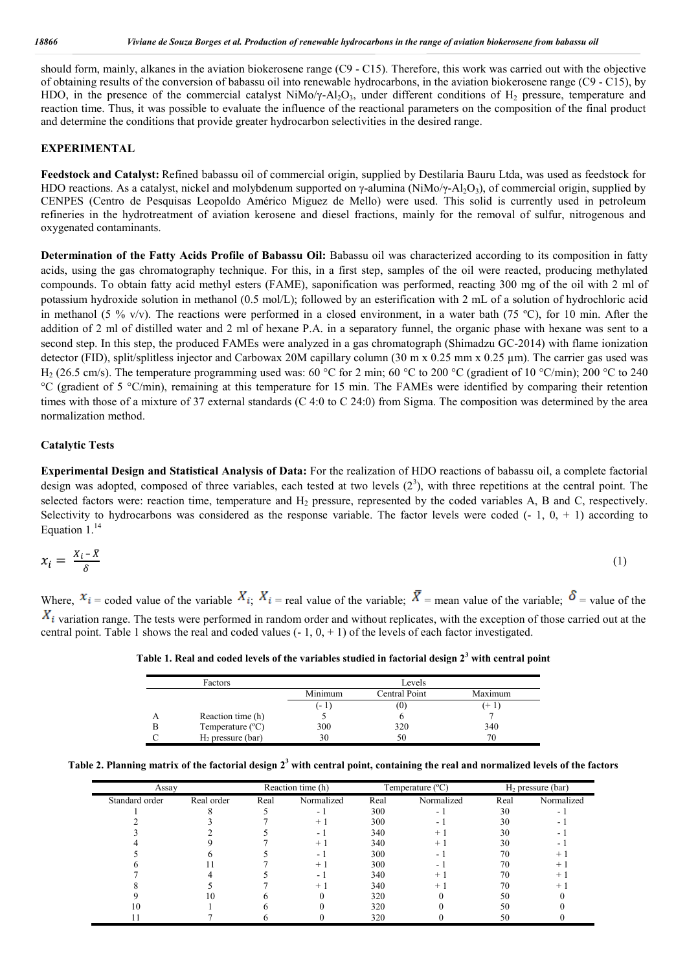should form, mainly, alkanes in the aviation biokerosene range (C9 - C15). Therefore, this work was carried out with the objective of obtaining results of the conversion of babassu oil into renewable hydrocarbons, in the aviation biokerosene range (C9 - C15), by HDO, in the presence of the commercial catalyst NiMo/ $\gamma$ -Al<sub>2</sub>O<sub>3</sub>, under different conditions of H<sub>2</sub> pressure, temperature and reaction time. Thus, it was possible to evaluate the influence of the reactional parameters on the composition of the final product and determine the conditions that provide greater hydrocarbon selectivities in the desired range.

#### **EXPERIMENTAL**

**Feedstock and Catalyst:** Refined babassu oil of commercial origin, supplied by Destilaria Bauru Ltda, was used as feedstock for HDO reactions. As a catalyst, nickel and molybdenum supported on γ-alumina (NiMo/γ-Al<sub>2</sub>O<sub>3</sub>), of commercial origin, supplied by CENPES (Centro de Pesquisas Leopoldo Américo Miguez de Mello) were used. This solid is currently used in petroleum refineries in the hydrotreatment of aviation kerosene and diesel fractions, mainly for the removal of sulfur, nitrogenous and oxygenated contaminants.

**Determination of the Fatty Acids Profile of Babassu Oil:** Babassu oil was characterized according to its composition in fatty acids, using the gas chromatography technique. For this, in a first step, samples of the oil were reacted, producing methylated compounds. To obtain fatty acid methyl esters (FAME), saponification was performed, reacting 300 mg of the oil with 2 ml of potassium hydroxide solution in methanol (0.5 mol/L); followed by an esterification with 2 mL of a solution of hydrochloric acid in methanol (5 % v/v). The reactions were performed in a closed environment, in a water bath (75 °C), for 10 min. After the addition of 2 ml of distilled water and 2 ml of hexane P.A. in a separatory funnel, the organic phase with hexane was sent to a second step. In this step, the produced FAMEs were analyzed in a gas chromatograph (Shimadzu GC-2014) with flame ionization detector (FID), split/splitless injector and Carbowax 20M capillary column  $(30 \text{ m} \times 0.25 \text{ mm} \times 0.25 \text{ \mu m})$ . The carrier gas used was H<sub>2</sub> (26.5 cm/s). The temperature programming used was: 60 °C for 2 min; 60 °C to 200 °C (gradient of 10 °C/min); 200 °C to 240 °C (gradient of 5 °C/min), remaining at this temperature for 15 min. The FAMEs were identified by comparing their retention times with those of a mixture of 37 external standards (C 4:0 to C 24:0) from Sigma. The composition was determined by the area normalization method.

#### **Catalytic Tests**

**Experimental Design and Statistical Analysis of Data:** For the realization of HDO reactions of babassu oil, a complete factorial design was adopted, composed of three variables, each tested at two levels  $(2^3)$ , with three repetitions at the central point. The selected factors were: reaction time, temperature and  $H_2$  pressure, represented by the coded variables A, B and C, respectively. Selectivity to hydrocarbons was considered as the response variable. The factor levels were coded  $(-1, 0, +1)$  according to Equation  $1.^{14}$ 

$$
x_i = \frac{x_i - \bar{x}}{\delta} \tag{1}
$$

Where,  $x_i$  = coded value of the variable  $X_i$ ;  $X_i$  = real value of the variable;  $\overline{X}$  = mean value of the variable;  $\delta$  = value of the  $X_i$  variation range. The tests were performed in random order and without replicates, with the exception of those carried out at the central point. Table 1 shows the real and coded values  $(-1, 0, +1)$  of the levels of each factor investigated.

**Table 1. Real and coded levels of the variables studied in factorial design 2<sup>3</sup> with central point**

| Factors |                           |         | Levels        |         |
|---------|---------------------------|---------|---------------|---------|
|         |                           | Minimum | Central Point | Maximum |
|         |                           | (- 1)   | (0)           |         |
|         | Reaction time (h)         |         |               |         |
|         | Temperature $(^{\circ}C)$ | 300     | 320           | 340     |
|         | $H2$ pressure (bar)       | 30      | 50            | 70      |

|  |  |  |  | Table 2. Planning matrix of the factorial design $2^3$ with central point, containing the real and normalized levels of the factors |
|--|--|--|--|-------------------------------------------------------------------------------------------------------------------------------------|
|--|--|--|--|-------------------------------------------------------------------------------------------------------------------------------------|

| Assay          |            | Reaction time (h) |            | Temperature $(^{\circ}C)$ |            | $H_2$ pressure (bar) |            |
|----------------|------------|-------------------|------------|---------------------------|------------|----------------------|------------|
| Standard order | Real order | Real              | Normalized | Real                      | Normalized | Real                 | Normalized |
|                |            |                   |            | 300                       | ۰.         | 30                   |            |
|                |            |                   | $+$        | 300                       | ۰.         | 30                   |            |
|                |            |                   | ۰.         | 340                       |            | 30                   |            |
|                |            |                   | $+$        | 340                       | $^+$       | 30                   |            |
|                |            |                   |            | 300                       | ۰.         | 70                   | $^+$       |
|                |            |                   | $+$ 1      | 300                       |            | 70                   | $^{+}$     |
|                |            |                   |            | 340                       |            | 70                   |            |
|                |            |                   | $+$        | 340                       | $^+$       | 70                   | +          |
|                | 10         |                   |            | 320                       |            | 50                   |            |
| 10             |            |                   |            | 320                       |            | 50                   |            |
|                |            |                   |            | 320                       |            | 50                   |            |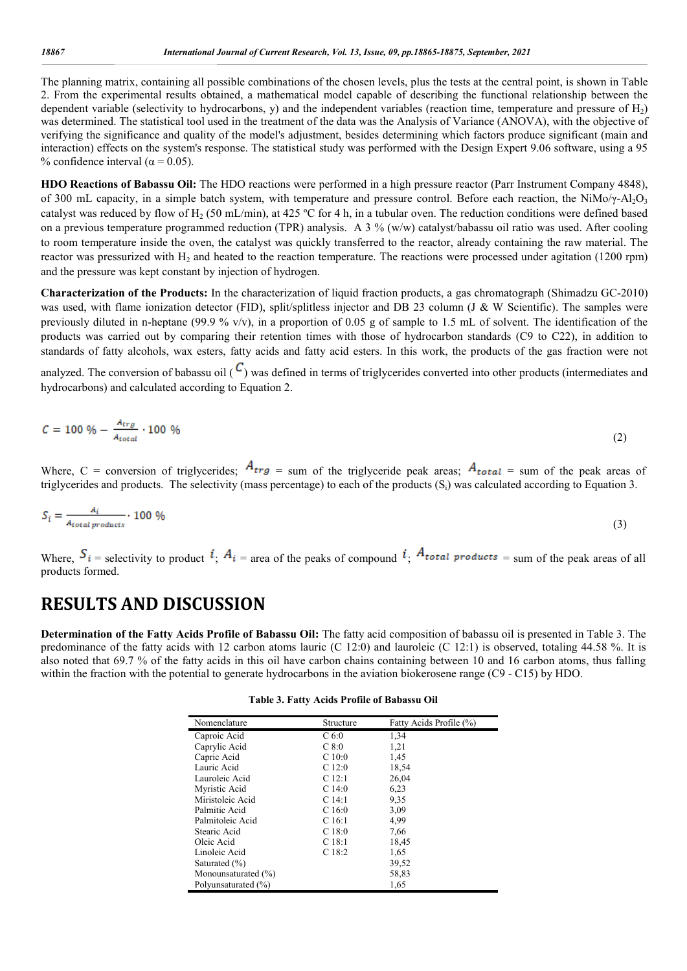The planning matrix, containing all possible combinations of the chosen levels, plus the tests at the central point, is shown in Table 2. From the experimental results obtained, a mathematical model capable of describing the functional relationship between the dependent variable (selectivity to hydrocarbons, y) and the independent variables (reaction time, temperature and pressure of H<sub>2</sub>) was determined. The statistical tool used in the treatment of the data was the Analysis of Variance (ANOVA), with the objective of verifying the significance and quality of the model's adjustment, besides determining which factors produce significant (main and interaction) effects on the system's response. The statistical study was performed with the Design Expert 9.06 software, using a 95 % confidence interval ( $\alpha$  = 0.05).

**HDO Reactions of Babassu Oil:** The HDO reactions were performed in a high pressure reactor (Parr Instrument Company 4848), of 300 mL capacity, in a simple batch system, with temperature and pressure control. Before each reaction, the NiMo/γ-Al<sub>2</sub>O<sub>3</sub> catalyst was reduced by flow of H<sub>2</sub> (50 mL/min), at 425 °C for 4 h, in a tubular oven. The reduction conditions were defined based on a previous temperature programmed reduction (TPR) analysis. A 3 % (w/w) catalyst/babassu oil ratio was used. After cooling to room temperature inside the oven, the catalyst was quickly transferred to the reactor, already containing the raw material. The reactor was pressurized with  $H_2$  and heated to the reaction temperature. The reactions were processed under agitation (1200 rpm) and the pressure was kept constant by injection of hydrogen.

**Characterization of the Products:** In the characterization of liquid fraction products, a gas chromatograph (Shimadzu GC-2010) was used, with flame ionization detector (FID), split/splitless injector and DB 23 column (J & W Scientific). The samples were previously diluted in n-heptane (99.9 % v/v), in a proportion of 0.05 g of sample to 1.5 mL of solvent. The identification of the products was carried out by comparing their retention times with those of hydrocarbon standards (C9 to C22), in addition to standards of fatty alcohols, wax esters, fatty acids and fatty acid esters. In this work, the products of the gas fraction were not

analyzed. The conversion of babassu oil  $(C)$  was defined in terms of triglycerides converted into other products (intermediates and hydrocarbons) and calculated according to Equation 2.

$$
C = 100\% - \frac{A_{trg}}{A_{total}} \cdot 100\% \tag{2}
$$

Where, C = conversion of triglycerides;  $A_{trg}$  = sum of the triglyceride peak areas;  $A_{total}$  = sum of the peak areas of triglycerides and products. The selectivity (mass percentage) to each of the products (Si) was calculated according to Equation 3.

$$
S_i = \frac{A_i}{A_{total\ products}} \cdot 100\% \tag{3}
$$

Where,  $S_i$  = selectivity to product  $i$ ;  $A_i$  = area of the peaks of compound  $i$ ;  $A_{total}$  products = sum of the peak areas of all products formed.

# **RESULTS AND DISCUSSION**

**Determination of the Fatty Acids Profile of Babassu Oil:** The fatty acid composition of babassu oil is presented in Table 3. The predominance of the fatty acids with 12 carbon atoms lauric (C 12:0) and lauroleic (C 12:1) is observed, totaling 44.58 %. It is also noted that 69.7 % of the fatty acids in this oil have carbon chains containing between 10 and 16 carbon atoms, thus falling within the fraction with the potential to generate hydrocarbons in the aviation biokerosene range (C9 - C15) by HDO.

| Nomenclature        | Structure         | Fatty Acids Profile (%) |
|---------------------|-------------------|-------------------------|
| Caproic Acid        | C <sub>6:0</sub>  | 1,34                    |
| Caprylic Acid       | C8:0              | 1,21                    |
| Capric Acid         | C10:0             | 1,45                    |
| Lauric Acid         | C12:0             | 18,54                   |
| Lauroleic Acid      | C <sub>12:1</sub> | 26,04                   |
| Myristic Acid       | C14:0             | 6,23                    |
| Miristoleic Acid    | $C$ 14:1          | 9,35                    |
| Palmitic Acid       | C16:0             | 3,09                    |
| Palmitoleic Acid    | C <sub>16:1</sub> | 4,99                    |
| Stearic Acid        | C18:0             | 7,66                    |
| Oleic Acid          | C <sub>18:1</sub> | 18,45                   |
| Linoleic Acid       | C <sub>18:2</sub> | 1,65                    |
| Saturated $(\% )$   |                   | 39,52                   |
| Monounsaturated (%) |                   | 58,83                   |
| Polyunsaturated (%) |                   | 1,65                    |

**Table 3. Fatty Acids Profile of Babassu Oil**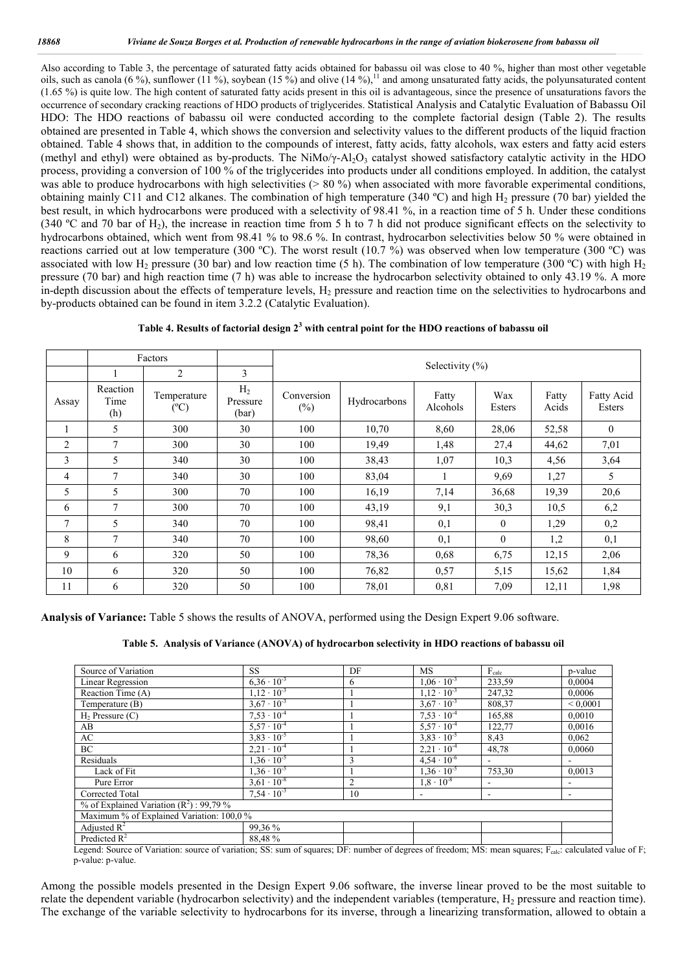Also according to Table 3, the percentage of saturated fatty acids obtained for babassu oil was close to 40 %, higher than most other vegetable oils, such as canola (6 %), sunflower (11 %), soybean (15 %) and olive (14 %),<sup>11</sup> and among unsaturated fatty acids, the polyunsaturated content (1.65 %) is quite low. The high content of saturated fatty acids present in this oil is advantageous, since the presence of unsaturations favors the occurrence of secondary cracking reactions of HDO products of triglycerides. Statistical Analysis and Catalytic Evaluation of Babassu Oil HDO: The HDO reactions of babassu oil were conducted according to the complete factorial design (Table 2). The results obtained are presented in Table 4, which shows the conversion and selectivity values to the different products of the liquid fraction obtained. Table 4 shows that, in addition to the compounds of interest, fatty acids, fatty alcohols, wax esters and fatty acid esters (methyl and ethyl) were obtained as by-products. The NiMo/ $\gamma$ -Al<sub>2</sub>O<sub>3</sub> catalyst showed satisfactory catalytic activity in the HDO process, providing a conversion of 100 % of the triglycerides into products under all conditions employed. In addition, the catalyst was able to produce hydrocarbons with high selectivities  $(> 80 \%)$  when associated with more favorable experimental conditions, obtaining mainly C11 and C12 alkanes. The combination of high temperature (340 °C) and high  $H<sub>2</sub>$  pressure (70 bar) yielded the best result, in which hydrocarbons were produced with a selectivity of 98.41 %, in a reaction time of 5 h. Under these conditions (340 °C and 70 bar of H<sub>2</sub>), the increase in reaction time from 5 h to 7 h did not produce significant effects on the selectivity to hydrocarbons obtained, which went from 98.41 % to 98.6 %. In contrast, hydrocarbon selectivities below 50 % were obtained in reactions carried out at low temperature (300 °C). The worst result (10.7 %) was observed when low temperature (300 °C) was associated with low H<sub>2</sub> pressure (30 bar) and low reaction time (5 h). The combination of low temperature (300 °C) with high H<sub>2</sub> pressure (70 bar) and high reaction time (7 h) was able to increase the hydrocarbon selectivity obtained to only 43.19 %. A more in-depth discussion about the effects of temperature levels,  $H_2$  pressure and reaction time on the selectivities to hydrocarbons and by-products obtained can be found in item 3.2.2 (Catalytic Evaluation).

|                |                         | Factors                      |                                     | Selectivity $(\%)$   |              |                          |               |                |                      |
|----------------|-------------------------|------------------------------|-------------------------------------|----------------------|--------------|--------------------------|---------------|----------------|----------------------|
|                |                         | 2                            | 3                                   |                      |              |                          |               |                |                      |
| Assay          | Reaction<br>Time<br>(h) | Temperature<br>$(^{\circ}C)$ | H <sub>2</sub><br>Pressure<br>(bar) | Conversion<br>$(\%)$ | Hydrocarbons | Fatty<br><b>Alcohols</b> | Wax<br>Esters | Fatty<br>Acids | Fatty Acid<br>Esters |
|                | 5                       | 300                          | 30                                  | 100                  | 10,70        | 8,60                     | 28,06         | 52,58          | $\theta$             |
| $\overline{2}$ | $\tau$                  | 300                          | 30                                  | 100                  | 19,49        | 1,48                     | 27,4          | 44,62          | 7,01                 |
| 3              | 5                       | 340                          | 30                                  | 100                  | 38,43        | 1,07                     | 10,3          | 4,56           | 3,64                 |
| $\overline{4}$ | $\overline{7}$          | 340                          | 30                                  | 100                  | 83,04        |                          | 9,69          | 1,27           | 5                    |
| 5              | 5                       | 300                          | 70                                  | 100                  | 16,19        | 7,14                     | 36,68         | 19,39          | 20,6                 |
| 6              | $\tau$                  | 300                          | 70                                  | 100                  | 43,19        | 9,1                      | 30,3          | 10,5           | 6,2                  |
| $\tau$         | 5                       | 340                          | 70                                  | 100                  | 98,41        | 0,1                      | $\mathbf{0}$  | 1,29           | 0,2                  |
| 8              | $\tau$                  | 340                          | 70                                  | 100                  | 98,60        | 0,1                      | $\Omega$      | 1,2            | 0,1                  |
| 9              | 6                       | 320                          | 50                                  | 100                  | 78,36        | 0.68                     | 6,75          | 12,15          | 2,06                 |
| 10             | 6                       | 320                          | 50                                  | 100                  | 76,82        | 0,57                     | 5,15          | 15,62          | 1,84                 |
| 11             | 6                       | 320                          | 50                                  | 100                  | 78,01        | 0,81                     | 7,09          | 12,11          | 1,98                 |

**Analysis of Variance:** Table 5 shows the results of ANOVA, performed using the Design Expert 9.06 software.

#### **Table 5. Analysis of Variance (ANOVA) of hydrocarbon selectivity in HDO reactions of babassu oil**

| Source of Variation                                                       | <b>SS</b>                 | DF                           | MS                                                      | $F_{calc}$   | p-value       |  |  |  |
|---------------------------------------------------------------------------|---------------------------|------------------------------|---------------------------------------------------------|--------------|---------------|--|--|--|
| <b>Linear Regression</b>                                                  | $6.36 \cdot 10^{-3}$      | 6                            | $1.06 \cdot 10^{-3}$                                    | 233,59       | 0,0004        |  |  |  |
| Reaction Time (A)                                                         | $1,12 \cdot 10^{-3}$      |                              | $1,\overline{12\cdot 10^{-3}}$                          | 247,32       | 0,0006        |  |  |  |
| Temperature (B)                                                           | $3.67 \cdot 10^{-3}$      |                              | $3.67 \cdot 10^{-3}$                                    | 808.37       | ${}_{0.0001}$ |  |  |  |
| $H_2$ Pressure $(C)$                                                      | $7.53 \cdot 10^{-4}$      |                              | $7,53 \cdot 10^{-4}$                                    | 165,88       | 0,0010        |  |  |  |
| AB                                                                        | $5.57 \cdot 10^{-4}$      |                              | $5.57 \cdot 10^{-4}$                                    | 122,77       | 0.0016        |  |  |  |
| AC                                                                        | $3.83 \cdot 10^{-5}$      |                              | $3.83 \cdot 10^{-5}$                                    | 8,43         | 0.062         |  |  |  |
| BC                                                                        | $2.21 \cdot 10^{-4}$      |                              | $2.21 \cdot 10^{-4}$                                    | 48,78        | 0.0060        |  |  |  |
| Residuals                                                                 | $1.36 \cdot 10^{-5}$      | 3                            | $4.54 \cdot 10^{-6}$                                    | $\sim$       |               |  |  |  |
| Lack of Fit                                                               | $1,36 \cdot 10^{-5}$      |                              | $1.36 \cdot 10^{-5}$                                    | 753,30       | 0,0013        |  |  |  |
| Pure Error                                                                | $3.61 \cdot 10^{-8}$      | $\overline{2}$               | $1,8 \cdot 10^{-8}$                                     | ٠            |               |  |  |  |
| Corrected Total                                                           | $7,54 \cdot 10^{-3}$      | 10                           |                                                         | ۰            |               |  |  |  |
| % of Explained Variation $(R^2)$ : 99,79 %                                |                           |                              |                                                         |              |               |  |  |  |
| Maximum % of Explained Variation: 100,0 %                                 |                           |                              |                                                         |              |               |  |  |  |
| Adjusted $R^2$                                                            | 99.36 %                   |                              |                                                         |              |               |  |  |  |
| Predicted $R^2$                                                           | 88.48%                    |                              |                                                         |              |               |  |  |  |
| $C \times T$ $\rightarrow$ $C$<br>$\sim$ $\sim$ $\sim$<br>$\sim$ 1 $\sim$ | $\sim$<br>DD.<br>$\alpha$ | $^{\circ}$ 1<br>$\mathbf{1}$ | $\mathcal{C} \mathcal{C} = \mathcal{C}$<br>$\mathbf{r}$ | $\mathbf{r}$ | $1 \t1 \t1$   |  |  |  |

Legend: Source of Variation: source of variation; SS: sum of squares; DF: number of degrees of freedom; MS: mean squares; Fcalc: calculated value of F; p-value: p-value.

Among the possible models presented in the Design Expert 9.06 software, the inverse linear proved to be the most suitable to relate the dependent variable (hydrocarbon selectivity) and the independent variables (temperature,  $H_2$  pressure and reaction time). The exchange of the variable selectivity to hydrocarbons for its inverse, through a linearizing transformation, allowed to obtain a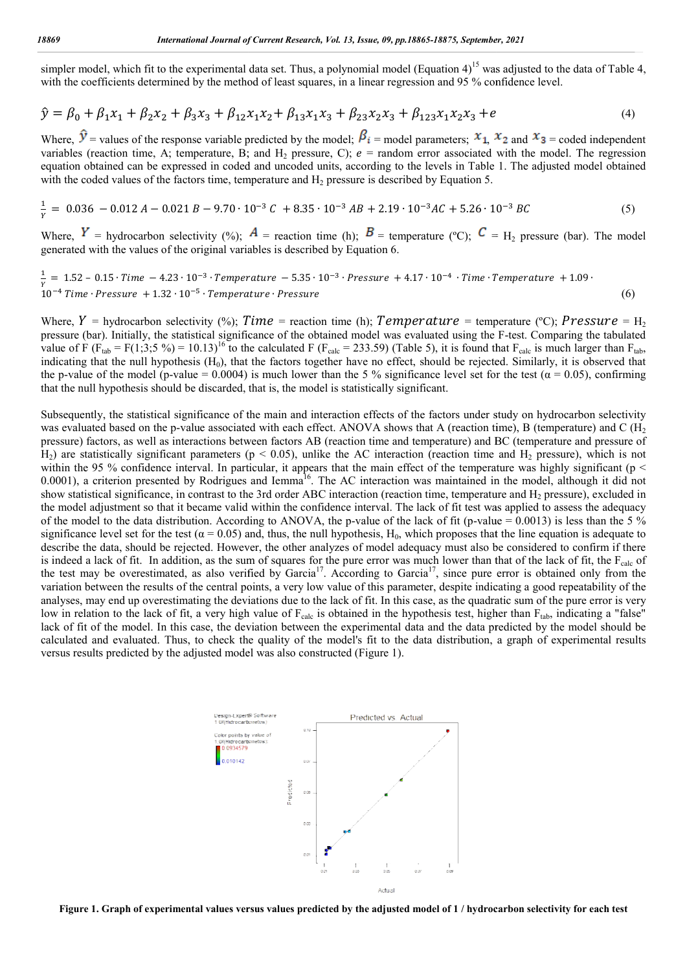simpler model, which fit to the experimental data set. Thus, a polynomial model (Equation 4)<sup>15</sup> was adjusted to the data of Table 4, with the coefficients determined by the method of least squares, in a linear regression and 95 % confidence level.

$$
\hat{y} = \beta_0 + \beta_1 x_1 + \beta_2 x_2 + \beta_3 x_3 + \beta_{12} x_1 x_2 + \beta_{13} x_1 x_3 + \beta_{23} x_2 x_3 + \beta_{123} x_1 x_2 x_3 + e \tag{4}
$$

Where,  $V =$  values of the response variable predicted by the model;  $Pi_i =$  model parameters;  $x_1$ ,  $x_2$  and  $x_3$  = coded independent variables (reaction time, A; temperature, B; and  $H_2$  pressure, C);  $e =$  random error associated with the model. The regression variables (reaction time, A; temperature, B; and  $H_2$  pressure, C);  $e =$  random error associated with the model. The regression equation obtained can be expressed in coded and uncoded units, according to the levels in Ta with the coded values of the factors time, temperature and  $H_2$  pressure is described by Equation 5.

$$
\frac{1}{Y} = 0.036 - 0.012 A - 0.021 B - 9.70 \cdot 10^{-3} C + 8.35 \cdot 10^{-3} AB + 2.19 \cdot 10^{-3} AC + 5.26 \cdot 10^{-3} BC \tag{5}
$$

Where,  $I =$  hydrocarbon selectivity (%);  $A =$  reaction time (h);  $D =$  temperature (°C);  $C = H_2$  pressure (bar). The model generated with the values of the original variables is described by Equation 6.

$$
\frac{1}{Y} = 1.52 - 0.15 \cdot Time - 4.23 \cdot 10^{-3} \cdot Temperature - 5.35 \cdot 10^{-3} \cdot Pressure + 4.17 \cdot 10^{-4} \cdot Time \cdot Temperature + 1.09 \cdot 10^{-4} Time \cdot Pressure + 1.32 \cdot 10^{-5} \cdot Temperature \cdot Pressure
$$
\n
$$
(6)
$$

Where,  $Y$  = hydrocarbon selectivity (%);  $Time$  = reaction time (h);  $Temperature$  = temperature (°C);  $Pressure$  = H<sub>2</sub> pressure (bar). Initially, the statistical significance of the obtained model was evaluated using the F-test. Comparing the tabulated value of F ( $F_{tab} = F(1,3;5\%) = 10.13$ )<sup>16</sup> to the calculated F ( $F_{calc} = 233.59$ ) (Table 5), it is found that  $F_{calc}$  is much larger than  $F_{tab}$ , indicating that the null hypothesis  $(H_0)$ , that the factors together have no effect, should be rejected. Similarly, it is observed that the p-value of the model (p-value = 0.0004) is much lower than the 5% significance level set for the test ( $\alpha$  = 0.05), confirming that the null hypothesis should be discarded, that is, the model is statistically significant.

Subsequently, the statistical significance of the main and interaction effects of the factors under study on hydrocarbon selectivity was evaluated based on the p-value associated with each effect. ANOVA shows that A (reaction time), B (temperature) and C ( $H_2$ pressure) factors, as well as interactions between factors AB (reaction time and temperature) and BC (temperature and pressure of  $H_2$ ) are statistically significant parameters ( $p < 0.05$ ), unlike the AC interaction (reaction time and  $H_2$  pressure), which is not within the 95 % confidence interval. In particular, it appears that the main effect of the temperature was highly significant ( $p <$ indicating that the null hypothesis (H<sub>0</sub>), that the factors together have no effect, should be rejected. Similarly, it is observed that<br>the p-value of the model (p-value = 0.0004) is much lower than the 5 % significance show statistical significance, in contrast to the 3rd order ABC interaction (reaction time, temperature and  $H_2$  pressure), excluded in the model adjustment so that it became valid within the confidence interval. The lack of fit test was applied to assess the adequacy the model adjustment so that it became valid within the confidence interval. The lack of fit test was applied to assess the adequacy<br>of the model to the data distribution. According to ANOVA, the p-value of the lack of fit significance level set for the test ( $\alpha$  = 0.05) and, thus, the null hypothesis, H<sub>0</sub>, which proposes that the line equation is adequate to significance level set for the test ( $\alpha = 0.05$ ) and, thus, the null hypothesis,  $H_0$ , which proposes that the line equation is adequate to describe the data, should be rejected. However, the other analyzes of model adeq is indeed a lack of fit. In addition, as the sum of squares for the pure error was much lower than that of the lack of fit, the  $F_{\text{calc}}$  of the test may be overestimated, as also verified by Garcia<sup>17</sup>. According to Garcia<sup>17</sup>, since pure error is obtained only from the variation between the results of the central points, a very low value of this parameter, despite indicating a good repeatability of the analyses, may end up overestimating the deviations due to the lack of fit. In this case, as the quadratic sum of the pure error is very analyses, may end up overestimating the deviations due to the lack of fit. In this case, as the quadratic sum of the pure error is very<br>low in relation to the lack of fit, a very high value of F<sub>calc</sub> is obtained in the hy lack of fit of the model. In this case, the deviation between the experimental data and the data predicted by the model should be lack of fit of the model. In this case, the deviation between the experimental data and the data predicted by the model should be calculated and evaluated. Thus, to check the quality of the model's fit to the data distribu versus results predicted by the adjusted model was also constructed (Fig (Figure 1). 0.0001), a criterion presented by Rodrigues and Iemma<sup>16</sup>. The AC interaction was maintained in the model, although it did not<br>show statistical significance, in contrast to the 3rd order ABC interaction (reaction time, tem



**Figure 1. Graph of experimental values versus values predicted by the adjusted model of 1 / hydrocarbon selectivity for each test**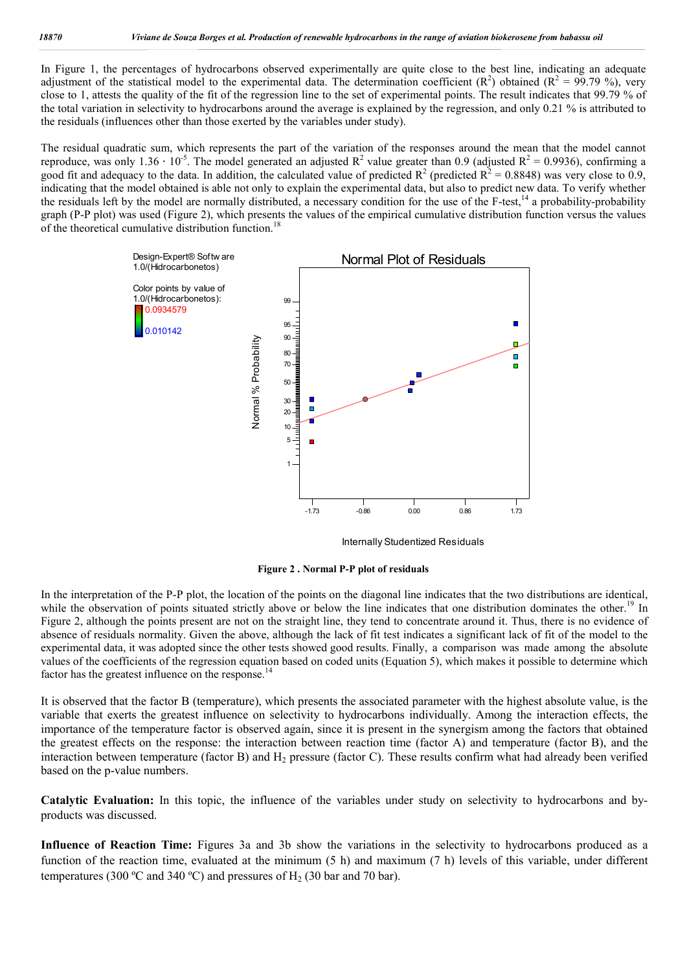In Figure 1, the percentages of hydrocarbons observed experimentally are quite close to the best line, indicating an adequate adjustment of the statistical model to the experimental data. The determination coefficient  $(R^2)$  obtained  $(R^2 = 99.79 \%)$ , very close to 1, attests the quality of the fit of the regression line to the set of experimental points. The result indicates that 99.79 % of the total variation in selectivity to hydrocarbons around the average is explained by the regression, and only 0.21 % is attributed to the residuals (influences other than those exerted by the variables under study).

The residual quadratic sum, which represents the part of the variation of the responses around the mean that the model cannot reproduce, was only 1.36  $\cdot$  10<sup>-5</sup>. The model generated an adjusted R<sup>2</sup> value greater than 0.9 (adjusted R<sup>2</sup> = 0.9936), confirming a good fit and adequacy to the data. In addition, the calculated value of predicted  $R^2$  (predicted  $R^2 = 0.8848$ ) was very close to 0.9, indicating that the model obtained is able not only to explain the experimental data, but also to predict new data. To verify whether the residuals left by the model are normally distributed, a necessary condition for the use of the F-test,<sup>14</sup> a probability-probability graph (P-P plot) was used (Figure 2), which presents the values of the empirical cumulative distribution function versus the values of the theoretical cumulative distribution function.<sup>18</sup>



Internally Studentized Residuals

**Figure 2 . Normal P-P plot of residuals**

In the interpretation of the P-P plot, the location of the points on the diagonal line indicates that the two distributions are identical, while the observation of points situated strictly above or below the line indicates that one distribution dominates the other.<sup>15</sup>  $^{\prime}$  In Figure 2, although the points present are not on the straight line, they tend to concentrate around it. Thus, there is no evidence of absence of residuals normality. Given the above, although the lack of fit test indicates a significant lack of fit of the model to the experimental data, it was adopted since the other tests showed good results. Finally, a comparison was made among the absolute values of the coefficients of the regression equation based on coded units (Equation 5), which makes it possible to determine which factor has the greatest influence on the response.<sup>14</sup>

It is observed that the factor B (temperature), which presents the associated parameter with the highest absolute value, is the variable that exerts the greatest influence on selectivity to hydrocarbons individually. Among the interaction effects, the importance of the temperature factor is observed again, since it is present in the synergism among the factors that obtained the greatest effects on the response: the interaction between reaction time (factor A) and temperature (factor B), and the interaction between temperature (factor B) and  $H_2$  pressure (factor C). These results confirm what had already been verified based on the p-value numbers.

**Catalytic Evaluation:** In this topic, the influence of the variables under study on selectivity to hydrocarbons and byproducts was discussed.

**Influence of Reaction Time:** Figures 3a and 3b show the variations in the selectivity to hydrocarbons produced as a function of the reaction time, evaluated at the minimum (5 h) and maximum (7 h) levels of this variable, under different temperatures (300 °C and 340 °C) and pressures of  $H_2$  (30 bar and 70 bar).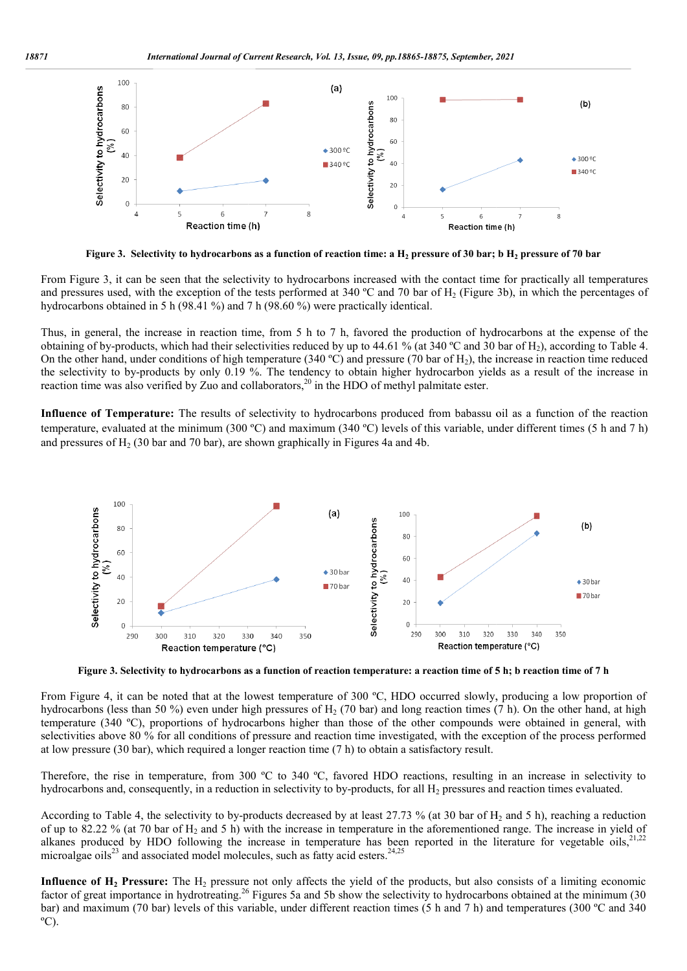

**Figure 3.** Selectivity to hydrocarbons as a function of reaction time: a  $\rm H_2$  pressure of 30 bar; b  $\rm H_2$  pressure of 70 bar

From Figure 3, it can be seen that the selectivity to hydrocarbons increased with the contact time for practically all temperatures and pressures used, with the exception of the tests performed at 340 °C and 70 bar of  $H_2$  (Figure 3b), in which the percentages of hydrocarbons obtained in 5 h (98.41 %) and 7 h (98.60 %) were practically identical.

Thus, in general, the increase in reaction time, from 5 h to 7 h, favored the production of hydrocarbons at the expense of the obtaining of by-products, which had their selectivities reduced by up to 44.61 % (at 340 °C and 30 bar of H<sub>2</sub>), according to Table 4. obtaining of by-products, which had their selectivities reduced by up to 44.61 % (at 340 °C and 30 bar of H<sub>2</sub>), according to Table 4.<br>On the other hand, under conditions of high temperature (340 °C) and pressure (70 bar the selectivity to by-products by only 0.19 %. The tendency to obtain higher hydrocarbon yields as a result of the increase in the selectivity to by-products by only 0.19 %. The tendency to obtain higher hydrocarbon yi reaction time was also verified by Zuo and collaborators,<sup>20</sup> in the HDO of methyl palmitate ester. performed at 340 °C and 70 bar of H<sub>2</sub> (Figure 3b), in which the percentages of 3.60 %) were practically identical.<br>om 5 h to 7 h, favored the production of hydrocarbons at the expense of the ies reduced by up to 44.61 %

**Influence of Temperature:** The results of selectivity to hydrocarbons produced from babassu oil as a function of the reaction temperature, evaluated at the minimum (300 ºC) and maximum (340 º ºC) levels of this variable, under different times (5 h and 7 h) and pressures of  $H<sub>2</sub>$  (30 bar and 70 bar), are shown graphically in Figures 4a and 4b.



**Figure 3. Selectivity to hydrocarbons as a function of reaction temperature: a reaction . time of 5 h; b reaction time of 7 h**

From Figure 4, it can be noted that at the lowest temperature of 300 °C, HDO occurred slowly, producing a low proportion of hydrocarbons (less than 50 %) even under high pressures of  $H_2$  (70 bar) and long reaction times (7 h). On the other hand, at high hydrocarbons (less than 50 %) even under high pressures of H<sub>2</sub> (70 bar) and long reaction times (7 h). On the other hand, at high temperature (340 °C), proportions of hydrocarbons higher than those of the other compounds selectivities above 80 % for all conditions of pressure and reaction time investigated, with the exception of the process performed at low pressure (30 bar), which required a longer reaction time (7 h) to obtain a satisfactory result.

Therefore, the rise in temperature, from 300 °C to 340 °C, favored HDO reactions, resulting in an increase in selectivity to hydrocarbons and, consequently, in a reduction in selectivity to by-products, for all  $H_2$  pres hydrocarbons and, consequently, in a reduction in selectivity to by-products, for all H<sub>2</sub> pressures and reaction times evaluated.

According to Table 4, the selectivity to by-products decreased by at least 27.73 % (at 30 bar of H<sub>2</sub> and 5 h), reaching a reduction of up to 82.22 % (at 70 bar of H<sub>2</sub> and 5 h) with the increase in temperature in the aforementioned range. The increase in yield of alkanes produced by HDO following the increase in temperature has been reported in the literature for vegetable oils, According to Table 4, the selectivity to by-products decreased by at least 27.7 of up to 82.22 % (at 70 bar of  $H_2$  and 5 h) with the increase in temperature in alkanes produced by HDO following the increase in temperatu at 70 bar of  $H_2$  and 5 h) with the increase in temperature in the aforementioned range. The increase in yield of<br>by HDO following the increase in temperature has been reported in the literature for vegetable oils,<sup>21,22</sup>

**Influence of H<sub>2</sub> Pressure:** The H<sub>2</sub> pressure not only affects the yield of the products, but also consists of a limiting economic factor of great importance in hydrotreating.<sup>26</sup> Figures 5a and 5b show the selectivity to hydrocarbons obtained at the minimum (30 bar) and maximum (70 bar) levels of this variable, under different reaction times (5 h and 7 h) and temperatures (300 °C and 340  $^{\circ}$ C).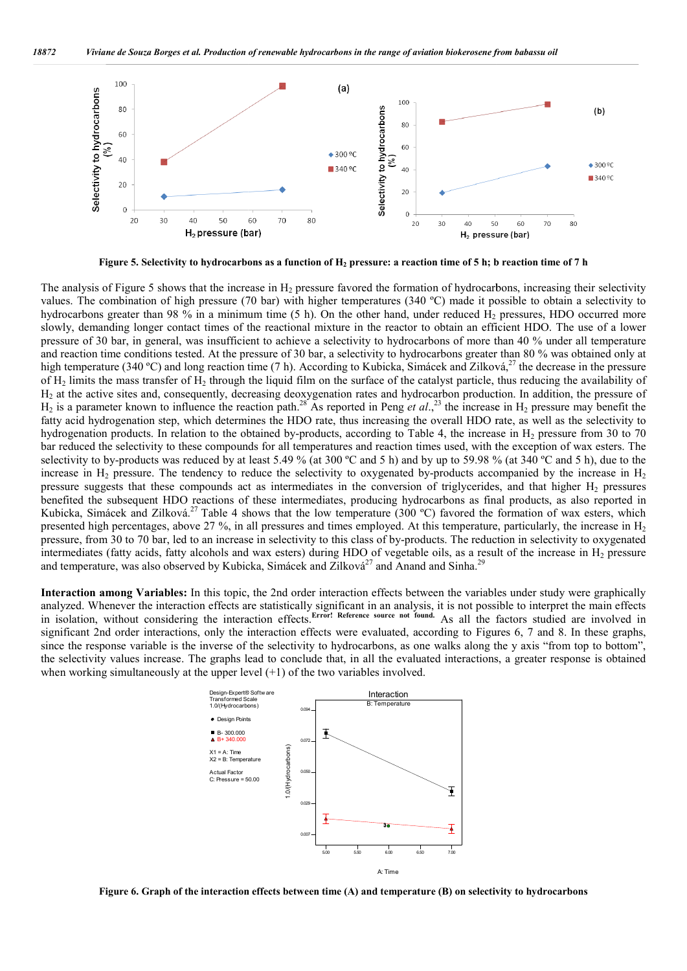

**Figure 5. Selectivity to hydrocarbons as a function of H H2 pressure: a reaction time of 5 h; b reaction time of 7 h**

The analysis of Figure 5 shows that the increase in  $H_2$  pressure favored the formation of hydrocarbons, increasing their selectivity values. The combination of high pressure (70 bar) with higher temperatures (340 ºC) made it possible to obtain a selectivity to The analysis of Figure 5 shows that the increase in  $H_2$  pressure favored the formation of hydrocarbons, increasing their selectivity to values. The combination of high pressure (70 bar) with higher temperatures (340 °C) slowly, demanding longer contact times of the reactional mixture in the reactor to obtain an efficient HDO. The use of a lower pressure of 30 bar, in general, was insufficient to achieve a selectivity to hydrocarbons of more than 40 % under all temperature and reaction time conditions tested. At the pressure of 30 bar, a selectivity to hydrocarbons greater than 80 % was obtained only at high temperature (340 °C) and long reaction time (7 h). According to Kubicka, Simácek and Zilková,<sup>27</sup> the decrease in the pressure of  $H_2$  limits the mass transfer of  $H_2$  through the liquid film on the surface of the catalyst particle, thus reducing the availability of  $H_2$  at the active sites and, consequently, decreasing deoxygenation rates and hydrocarbon production. In addition, the pressure of of H<sub>2</sub> limits the mass transfer of H<sub>2</sub> through the liquid film on the surface of the catalyst particle, thus reducing the availability of H<sub>2</sub> at the active sites and, consequently, decreasing deoxygenation rates and hy fatty acid hydrogenation step, which determines the HDO rate, thus increasing the overall HDO rate, as well as the selectivity to fatty acid hydrogenation step, which determines the HDO rate, thus increasing the overall HDO rate, as well as the selectivity to<br>hydrogenation products. In relation to the obtained by-products, according to Table 4, the i bar reduced the selectivity to these compounds for all temperatures and reaction times used, with the exception of wax esters. The selectivity to by-products was reduced by at least 5.49 % (at 300 °C and 5 h) and by up to 59.98 % (at 340 °C and 5 h), due to the bar reduced the selectivity to these compounds for all temperatures and reaction times used, with the exception of wax esters. The selectivity to by-products was reduced by at least 5.49 % (at 300 °C and 5 h) and by up to pressure suggests that these compounds act as intermediates in the conversion of triglycerides, and that higher  $H_2$  pressures benefited the subsequent HDO reactions of these intermediates, producing h hydrocarbons as final products, as also reported in Kubicka, Simácek and Zilková.<sup>27</sup> Table 4 shows that the low temperature (300 °C) favored the formation of wax esters, which benefited the subsequent HDO reactions of these intermediates, producing hydrocarbons as final products, as also reported in<br>Kubicka, Simácek and Zilková.<sup>27</sup> Table 4 shows that the low temperature (300 °C) favored the for pressure, from 30 to 70 bar, led to an increase in selectivity to this class of by-products. The reduction in selectivity to oxygenated pressure, from 30 to 70 bar, led to an increase in selectivity to this class of by-products. The reduction in selectivity to oxygenated intermediates (fatty acids, fatty alcohols and wax esters) during HDO of vegetable oil and temperature, was also observed by Kubicka, Simácek and Zilková $^{27}$  and Anand and Sinha. $^{29}$ 

Interaction among Variables: In this topic, the 2nd order interaction effects between the variables under study were graphically analyzed. Whenever the interaction effects are statistically significant in an analysis, it is not possible to interpret the in isolation, without considering the interaction effects. **Error! Reference source not found.** As all the factors studied are involved in in isolation, without considering the interaction effects. Error: Reterence source not found. As all the factors studied are involved in significant 2nd order interactions, only the interaction effects were evaluated, acco since the response variable is the inverse of the selectivity to hydrocarbons, as one walks along the y axis "from top to bottom", since the response variable is the inverse of the selectivity to hydrocarbons, as one walks along the y axis "from top to bottom", the selectivity values increase. The graphs lead to conclude that, in all the evaluated int when working simultaneously at the upper level (+1) of the two variables involved. analyzed. Whenever the interaction effects are statistically significant in an analysis, it is not possible to interpret the main effects



**Figure 6. Graph of the interaction effects between time (A) and temperature (B) on selectivity to hydrocarbons**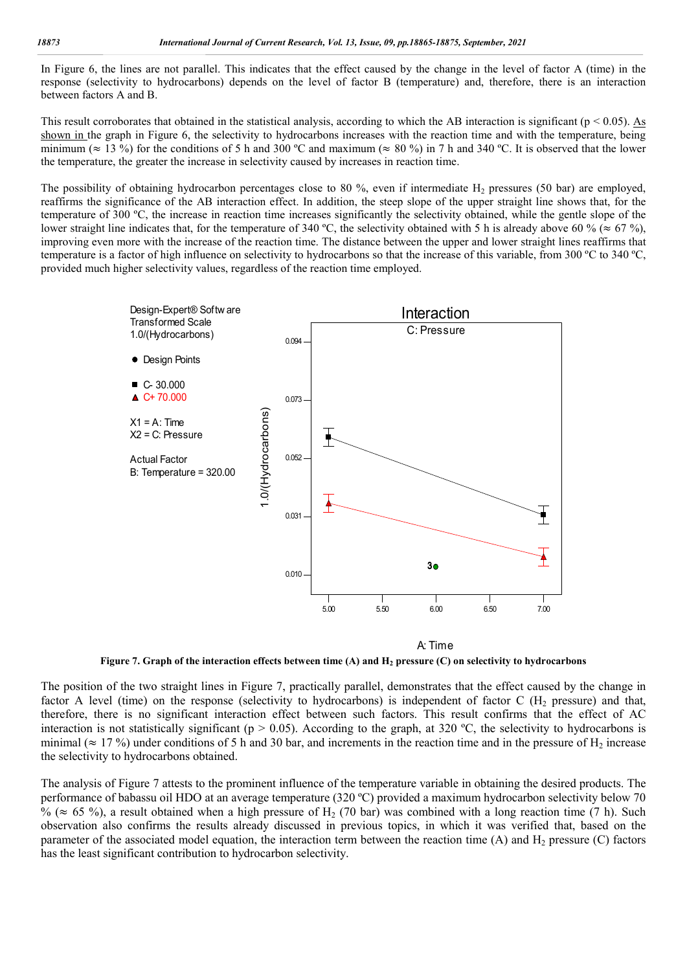In Figure 6, the lines are not parallel. This indicates that the effect caused by the change in the level of factor A (time) in the response (selectivity to hydrocarbons) depends on the level of factor B (temperature) and, therefore, there is an interaction between factors A and B.

This result corroborates that obtained in the statistical analysis, according to which the AB interaction is significant ( $p < 0.05$ ). As shown in the graph in Figure 6, the selectivity to hydrocarbons increases with the reaction time and with the temperature, being minimum ( $\approx$  13 %) for the conditions of 5 h and 300 °C and maximum ( $\approx$  80 %) in 7 h and 340 °C. It is observed that the lower the temperature, the greater the increase in selectivity caused by increases in reaction time.

The possibility of obtaining hydrocarbon percentages close to 80 %, even if intermediate  $H_2$  pressures (50 bar) are employed, reaffirms the significance of the AB interaction effect. In addition, the steep slope of the upper straight line shows that, for the temperature of 300 ºC, the increase in reaction time increases significantly the selectivity obtained, while the gentle slope of the lower straight line indicates that, for the temperature of 340 °C, the selectivity obtained with 5 h is already above 60 % ( $\approx$  67 %), improving even more with the increase of the reaction time. The distance between the upper and lower straight lines reaffirms that temperature is a factor of high influence on selectivity to hydrocarbons so that the increase of this variable, from 300 ºC to 340 ºC, provided much higher selectivity values, regardless of the reaction time employed.



**Figure 7. Graph of the interaction effects between time (A) and H2 pressure (C) on selectivity to hydrocarbons**

The position of the two straight lines in Figure 7, practically parallel, demonstrates that the effect caused by the change in factor A level (time) on the response (selectivity to hydrocarbons) is independent of factor C ( $H_2$  pressure) and that, therefore, there is no significant interaction effect between such factors. This result confirms that the effect of AC interaction is not statistically significant ( $p > 0.05$ ). According to the graph, at 320 °C, the selectivity to hydrocarbons is minimal ( $\approx$  17 %) under conditions of 5 h and 30 bar, and increments in the reaction time and in the pressure of H<sub>2</sub> increase the selectivity to hydrocarbons obtained.

The analysis of Figure 7 attests to the prominent influence of the temperature variable in obtaining the desired products. The performance of babassu oil HDO at an average temperature (320 ºC) provided a maximum hydrocarbon selectivity below 70 % ( $\approx$  65 %), a result obtained when a high pressure of H<sub>2</sub> (70 bar) was combined with a long reaction time (7 h). Such observation also confirms the results already discussed in previous topics, in which it was verified that, based on the parameter of the associated model equation, the interaction term between the reaction time (A) and  $H_2$  pressure (C) factors has the least significant contribution to hydrocarbon selectivity.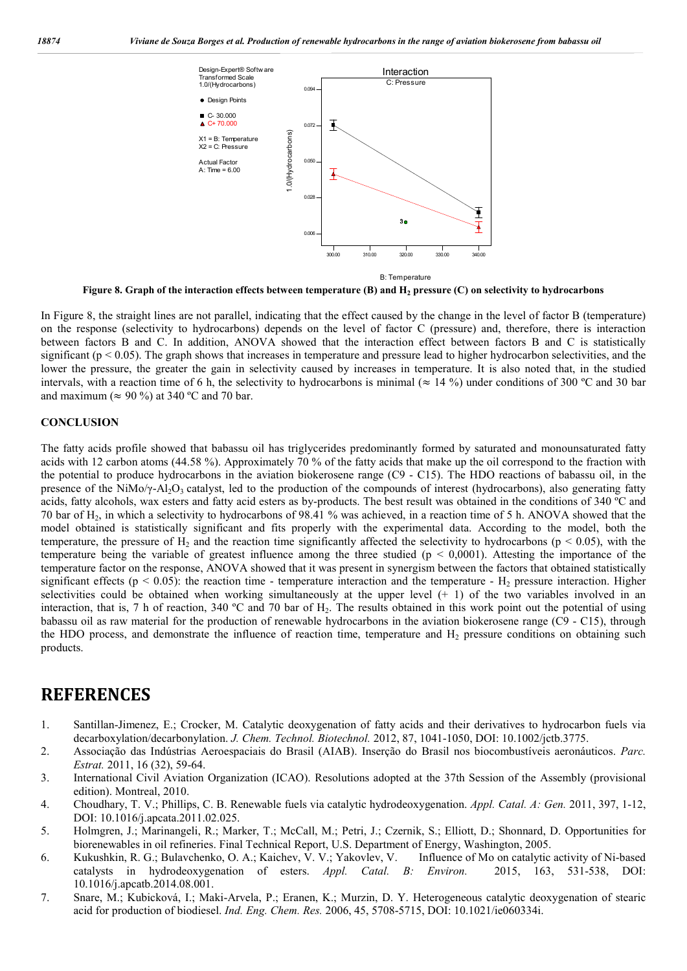

**Figure 8. Graph of the interaction effects between temperature (B) and H<sub>2</sub> pressure (C) on selectivity to hydrocarbons** 

In Figure 8, the straight lines are not parallel, indicating that the effect caused by the change in the level of factor B (temperature) on the response (selectivity to hydrocarbons) depends on the level of factor C (pressure) and, therefore, there is interaction between factors B and C. In addition, ANOVA showed that the interaction effect between factors B and C is statistically significant ( $p < 0.05$ ). The graph shows that increases in temperature and pressure lead to higher hydrocarbon selectivities, and the lower the pressure, the greater the gain in selectivity caused by increases in temperature. It is also noted that, in the studied intervals, with a reaction time of 6 h, the selectivity to hydrocarbons is minimal ( $\approx$  14 %) under conditions of 300 °C and 30 bar and maximum ( $\approx 90\%$ ) at 340 °C and 70 bar.

#### **CONCLUSION**

The fatty acids profile showed that babassu oil has triglycerides predominantly formed by saturated and monounsaturated fatty acids with 12 carbon atoms (44.58 %). Approximately 70 % of the fatty acids that make up the oil correspond to the fraction with the potential to produce hydrocarbons in the aviation biokerosene range (C9 - C15). The HDO reactions of babassu oil, in the presence of the NiMo/ $\gamma$ -Al<sub>2</sub>O<sub>3</sub> catalyst, led to the production of the compounds of interest (hydrocarbons), also generating fatty acids, fatty alcohols, wax esters and fatty acid esters as by-products. The best result was obtained in the conditions of 340 ºC and 70 bar of H2, in which a selectivity to hydrocarbons of 98.41 % was achieved, in a reaction time of 5 h. ANOVA showed that the model obtained is statistically significant and fits properly with the experimental data. According to the model, both the temperature, the pressure of  $H_2$  and the reaction time significantly affected the selectivity to hydrocarbons ( $p < 0.05$ ), with the temperature being the variable of greatest influence among the three studied ( $p < 0,0001$ ). Attesting the importance of the temperature factor on the response, ANOVA showed that it was present in synergism between the factors that obtained statistically significant effects ( $p < 0.05$ ): the reaction time - temperature interaction and the temperature -  $H_2$  pressure interaction. Higher selectivities could be obtained when working simultaneously at the upper level  $(+ 1)$  of the two variables involved in an interaction, that is, 7 h of reaction, 340 ºC and 70 bar of H2. The results obtained in this work point out the potential of using babassu oil as raw material for the production of renewable hydrocarbons in the aviation biokerosene range (C9 - C15), through the HDO process, and demonstrate the influence of reaction time, temperature and  $H_2$  pressure conditions on obtaining such products.

## **REFERENCES**

- 1. Santillan-Jimenez, E.; Crocker, M. Catalytic deoxygenation of fatty acids and their derivatives to hydrocarbon fuels via decarboxylation/decarbonylation. *J. Chem. Technol. Biotechnol.* 2012, 87, 1041-1050, DOI: 10.1002/jctb.3775.
- 2. Associação das Indústrias Aeroespaciais do Brasil (AIAB). Inserção do Brasil nos biocombustíveis aeronáuticos. *Parc. Estrat.* 2011, 16 (32), 59-64.
- 3. International Civil Aviation Organization (ICAO). Resolutions adopted at the 37th Session of the Assembly (provisional edition). Montreal, 2010.
- 4. Choudhary, T. V.; Phillips, C. B. Renewable fuels via catalytic hydrodeoxygenation. *Appl. Catal. A: Gen.* 2011, 397, 1-12, DOI: 10.1016/j.apcata.2011.02.025.
- 5. Holmgren, J.; Marinangeli, R.; Marker, T.; McCall, M.; Petri, J.; Czernik, S.; Elliott, D.; Shonnard, D. Opportunities for biorenewables in oil refineries. Final Technical Report, U.S. Department of Energy, Washington, 2005.
- 6. Kukushkin, R. G.; Bulavchenko, O. A.; Kaichev, V. V.; Yakovlev, V. Influence of Mo on catalytic activity of Ni-based catalysts in hydrodeoxygenation of esters. *Appl. Catal. B: Environ.* 2015, 163, 531-538, DOI: 10.1016/j.apcatb.2014.08.001.
- 7. Snare, M.; Kubicková, I.; Maki-Arvela, P.; Eranen, K.; Murzin, D. Y. Heterogeneous catalytic deoxygenation of stearic acid for production of biodiesel. *Ind. Eng. Chem. Res.* 2006, 45, 5708-5715, DOI: 10.1021/ie060334i.